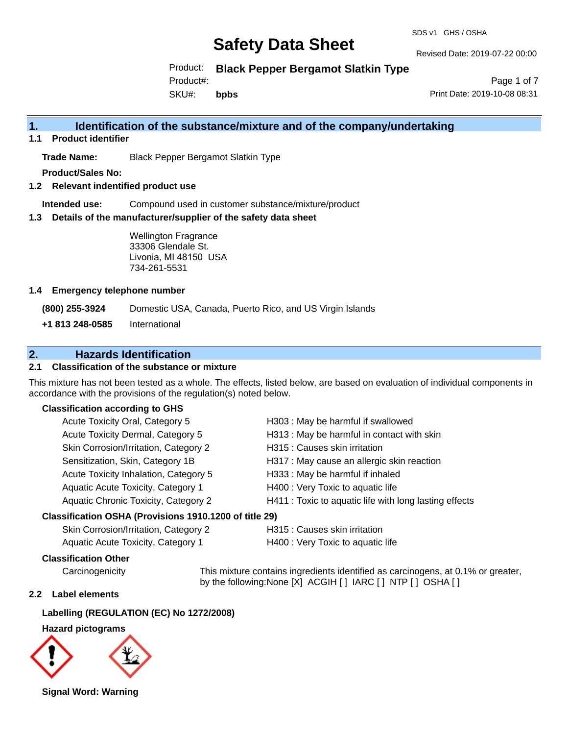#### SDS v1 GHS / OSHA

# **Safety Data Sheet**

Revised Date: 2019-07-22 00:00

Product: **Black Pepper Bergamot Slatkin Type**

Product#:

SKU#: **bpbs**

Page 1 of 7 Print Date: 2019-10-08 08:31

## **1. Identification of the substance/mixture and of the company/undertaking**

**1.1 Product identifier**

**Trade Name:** Black Pepper Bergamot Slatkin Type

**Product/Sales No:**

**1.2 Relevant indentified product use**

**Intended use:** Compound used in customer substance/mixture/product

**1.3 Details of the manufacturer/supplier of the safety data sheet**

Wellington Fragrance 33306 Glendale St. Livonia, MI 48150 USA 734-261-5531

### **1.4 Emergency telephone number**

**(800) 255-3924** Domestic USA, Canada, Puerto Rico, and US Virgin Islands

**+1 813 248-0585** International

# **2. Hazards Identification**

## **2.1 Classification of the substance or mixture**

This mixture has not been tested as a whole. The effects, listed below, are based on evaluation of individual components in accordance with the provisions of the regulation(s) noted below.

## **Classification according to GHS**

| Acute Toxicity Oral, Category 5       | H303 : May be harmful if swallowed                     |
|---------------------------------------|--------------------------------------------------------|
| Acute Toxicity Dermal, Category 5     | H313 : May be harmful in contact with skin             |
| Skin Corrosion/Irritation, Category 2 | H315 : Causes skin irritation                          |
| Sensitization, Skin, Category 1B      | H317 : May cause an allergic skin reaction             |
| Acute Toxicity Inhalation, Category 5 | H333: May be harmful if inhaled                        |
| Aquatic Acute Toxicity, Category 1    | H400 : Very Toxic to aquatic life                      |
| Aquatic Chronic Toxicity, Category 2  | H411 : Toxic to aquatic life with long lasting effects |
|                                       |                                                        |

#### **Classification OSHA (Provisions 1910.1200 of title 29)**

| Skin Corrosion/Irritation, Category 2 | H315 : C |
|---------------------------------------|----------|
| Aquatic Acute Toxicity, Category 1    | H400 : V |

auses skin irritation,

'ery Toxic to aquatic life

## **Classification Other**

Carcinogenicity This mixture contains ingredients identified as carcinogens, at 0.1% or greater, by the following:None [X] ACGIH [ ] IARC [ ] NTP [ ] OSHA [ ]

## **2.2 Label elements**

# **Labelling (REGULATION (EC) No 1272/2008)**

## **Hazard pictograms**



**Signal Word: Warning**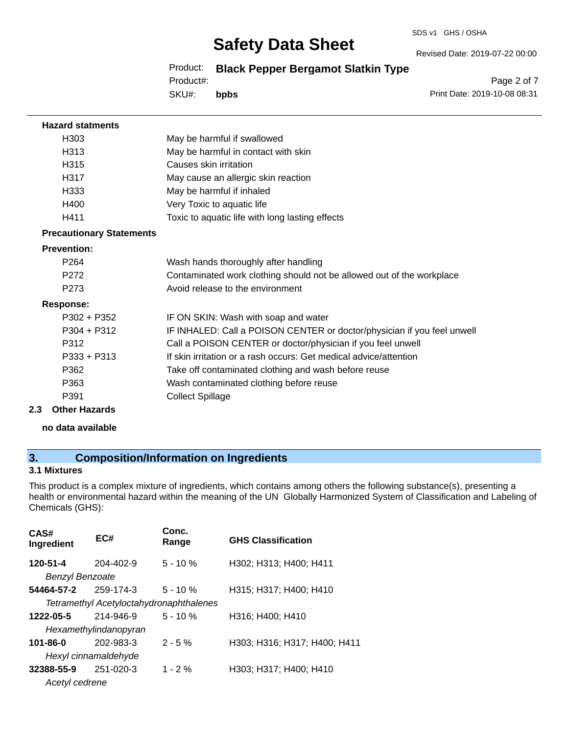#### SDS v1 GHS / OSHA

# **Safety Data Sheet**

Revised Date: 2019-07-22 00:00

Product: **Black Pepper Bergamot Slatkin Type**

Product#:

SKU#: **bpbs**

Page 2 of 7 Print Date: 2019-10-08 08:31

| <b>Hazard statments</b>         |                                                                         |
|---------------------------------|-------------------------------------------------------------------------|
| H303                            | May be harmful if swallowed                                             |
| H313                            | May be harmful in contact with skin                                     |
| H315                            | Causes skin irritation                                                  |
| H317                            | May cause an allergic skin reaction                                     |
| H333                            | May be harmful if inhaled                                               |
| H400                            | Very Toxic to aquatic life                                              |
| H411                            | Toxic to aquatic life with long lasting effects                         |
| <b>Precautionary Statements</b> |                                                                         |
| <b>Prevention:</b>              |                                                                         |
| P <sub>264</sub>                | Wash hands thoroughly after handling                                    |
| P <sub>272</sub>                | Contaminated work clothing should not be allowed out of the workplace   |
| P <sub>273</sub>                | Avoid release to the environment                                        |
| <b>Response:</b>                |                                                                         |
| $P302 + P352$                   | IF ON SKIN: Wash with soap and water                                    |
| $P304 + P312$                   | IF INHALED: Call a POISON CENTER or doctor/physician if you feel unwell |
| P312                            | Call a POISON CENTER or doctor/physician if you feel unwell             |
| $P333 + P313$                   | If skin irritation or a rash occurs: Get medical advice/attention       |
| P362                            | Take off contaminated clothing and wash before reuse                    |
| P363                            | Wash contaminated clothing before reuse                                 |
| P391                            | <b>Collect Spillage</b>                                                 |
| 2.3<br><b>Other Hazards</b>     |                                                                         |
|                                 |                                                                         |

#### **no data available**

# **3. Composition/Information on Ingredients**

## **3.1 Mixtures**

This product is a complex mixture of ingredients, which contains among others the following substance(s), presenting a health or environmental hazard within the meaning of the UN Globally Harmonized System of Classification and Labeling of Chemicals (GHS):

| CAS#<br>Ingredient                 | EC#                                     | Conc.<br>Range | <b>GHS Classification</b>    |
|------------------------------------|-----------------------------------------|----------------|------------------------------|
| 120-51-4<br><b>Benzyl Benzoate</b> | 204-402-9                               | $5 - 10 \%$    | H302; H313; H400; H411       |
|                                    |                                         |                |                              |
| 54464-57-2                         | 259-174-3                               | $5 - 10 \%$    | H315; H317; H400; H410       |
|                                    | Tetramethyl Acetyloctahydronaphthalenes |                |                              |
| 1222-05-5                          | 214-946-9                               | $5 - 10%$      | H316; H400; H410             |
|                                    | Hexamethylindanopyran                   |                |                              |
| $101 - 86 - 0$                     | 202-983-3                               | $2 - 5%$       | H303; H316; H317; H400; H411 |
|                                    | Hexyl cinnamaldehyde                    |                |                              |
| 32388-55-9                         | $251 - 020 - 3$                         | $1 - 2\%$      | H303; H317; H400; H410       |
| Acetyl cedrene                     |                                         |                |                              |
|                                    |                                         |                |                              |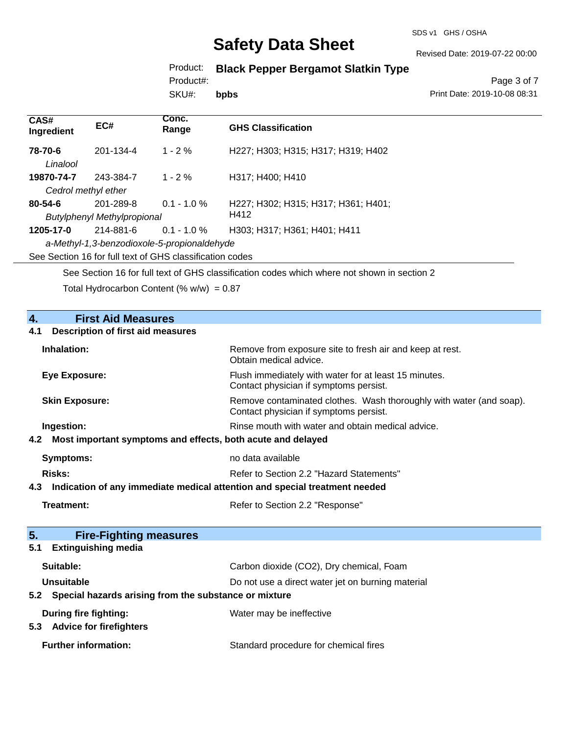#### SDS v1 GHS / OSHA

# **Safety Data Sheet**

Revised Date: 2019-07-22 00:00

Product: **Black Pepper Bergamot Slatkin Type**

Product#:

SKU#: **bpbs**

Page 3 of 7 Print Date: 2019-10-08 08:31

| CAS#<br>Ingredient                                       | EC#                                | Conc.<br>Range | <b>GHS Classification</b>           |
|----------------------------------------------------------|------------------------------------|----------------|-------------------------------------|
| 78-70-6<br>Linalool                                      | 201-134-4                          | $1 - 2\%$      | H227; H303; H315; H317; H319; H402  |
| 19870-74-7                                               | 243-384-7                          | $1 - 2\%$      | H317: H400: H410                    |
| Cedrol methyl ether                                      |                                    |                |                                     |
| $80 - 54 - 6$                                            | 201-289-8                          | $0.1 - 1.0 \%$ | H227; H302; H315; H317; H361; H401; |
|                                                          | <b>Butylphenyl Methylpropional</b> |                | H412                                |
| 1205-17-0                                                | 214-881-6                          | $0.1 - 1.0 \%$ | H303; H317; H361; H401; H411        |
| a-Methyl-1,3-benzodioxole-5-propionaldehyde              |                                    |                |                                     |
| See Section 16 for full text of GHS classification codes |                                    |                |                                     |

See Section 16 for full text of GHS classification codes which where not shown in section 2

Total Hydrocarbon Content (%  $w/w$ ) = 0.87

| 4.<br><b>First Aid Measures</b>                                                   |                                                                                                               |
|-----------------------------------------------------------------------------------|---------------------------------------------------------------------------------------------------------------|
| <b>Description of first aid measures</b><br>4.1                                   |                                                                                                               |
| Inhalation:                                                                       | Remove from exposure site to fresh air and keep at rest.<br>Obtain medical advice.                            |
| <b>Eye Exposure:</b>                                                              | Flush immediately with water for at least 15 minutes.<br>Contact physician if symptoms persist.               |
| <b>Skin Exposure:</b>                                                             | Remove contaminated clothes. Wash thoroughly with water (and soap).<br>Contact physician if symptoms persist. |
| Ingestion:                                                                        | Rinse mouth with water and obtain medical advice.                                                             |
| Most important symptoms and effects, both acute and delayed<br>4.2                |                                                                                                               |
| <b>Symptoms:</b>                                                                  | no data available                                                                                             |
| <b>Risks:</b>                                                                     | Refer to Section 2.2 "Hazard Statements"                                                                      |
| Indication of any immediate medical attention and special treatment needed<br>4.3 |                                                                                                               |
| <b>Treatment:</b>                                                                 | Refer to Section 2.2 "Response"                                                                               |
| 5.                                                                                |                                                                                                               |
| <b>Fire-Fighting measures</b><br><b>Extinguishing media</b><br>5.1                |                                                                                                               |
| Suitable:                                                                         | Carbon dioxide (CO2), Dry chemical, Foam                                                                      |
| <b>Unsuitable</b>                                                                 | Do not use a direct water jet on burning material                                                             |
| Special hazards arising from the substance or mixture<br>5.2                      |                                                                                                               |
| During fire fighting:<br>5.3 Advice for firefighters                              | Water may be ineffective                                                                                      |
| <b>Further information:</b>                                                       | Standard procedure for chemical fires                                                                         |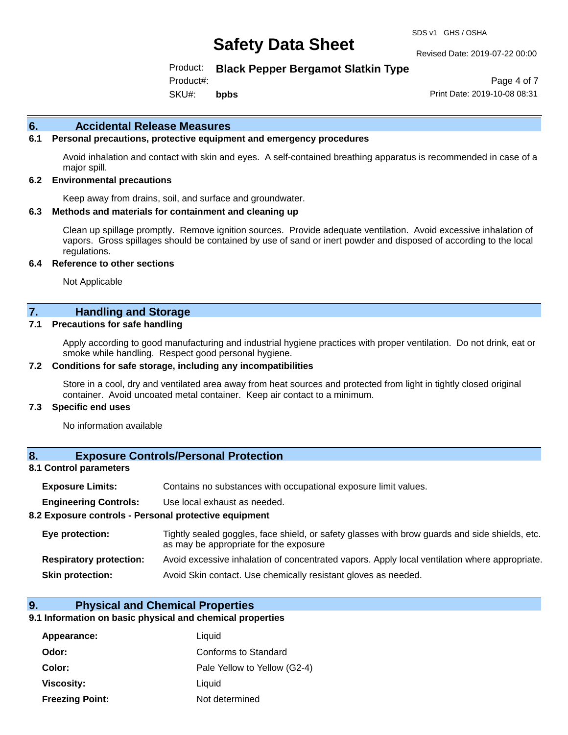#### Revised Date: 2019-07-22 00:00

Product: **Black Pepper Bergamot Slatkin Type**

Product#:

SKU#: **bpbs**

Page 4 of 7 Print Date: 2019-10-08 08:31

#### **6. Accidental Release Measures**

## **6.1 Personal precautions, protective equipment and emergency procedures**

Avoid inhalation and contact with skin and eyes. A self-contained breathing apparatus is recommended in case of a major spill.

#### **6.2 Environmental precautions**

Keep away from drains, soil, and surface and groundwater.

#### **6.3 Methods and materials for containment and cleaning up**

Clean up spillage promptly. Remove ignition sources. Provide adequate ventilation. Avoid excessive inhalation of vapors. Gross spillages should be contained by use of sand or inert powder and disposed of according to the local regulations.

#### **6.4 Reference to other sections**

Not Applicable

## **7. Handling and Storage**

#### **7.1 Precautions for safe handling**

Apply according to good manufacturing and industrial hygiene practices with proper ventilation. Do not drink, eat or smoke while handling. Respect good personal hygiene.

#### **7.2 Conditions for safe storage, including any incompatibilities**

Store in a cool, dry and ventilated area away from heat sources and protected from light in tightly closed original container. Avoid uncoated metal container. Keep air contact to a minimum.

#### **7.3 Specific end uses**

No information available

## **8. Exposure Controls/Personal Protection**

#### **8.1 Control parameters**

| <b>Exposure Limits:</b> |  |  |  | Contains no substances with occupational exposure limit values. |  |
|-------------------------|--|--|--|-----------------------------------------------------------------|--|
|-------------------------|--|--|--|-----------------------------------------------------------------|--|

**Engineering Controls:** Use local exhaust as needed.

#### **8.2 Exposure controls - Personal protective equipment**

| Eye protection:                | Tightly sealed goggles, face shield, or safety glasses with brow guards and side shields, etc.<br>as may be appropriate for the exposure |
|--------------------------------|------------------------------------------------------------------------------------------------------------------------------------------|
| <b>Respiratory protection:</b> | Avoid excessive inhalation of concentrated vapors. Apply local ventilation where appropriate.                                            |
| <b>Skin protection:</b>        | Avoid Skin contact. Use chemically resistant gloves as needed.                                                                           |

#### **9. Physical and Chemical Properties**

#### **9.1 Information on basic physical and chemical properties**

| Appearance:            | Liquid                       |
|------------------------|------------------------------|
| Odor:                  | Conforms to Standard         |
| Color:                 | Pale Yellow to Yellow (G2-4) |
| Viscosity:             | Liquid                       |
| <b>Freezing Point:</b> | Not determined               |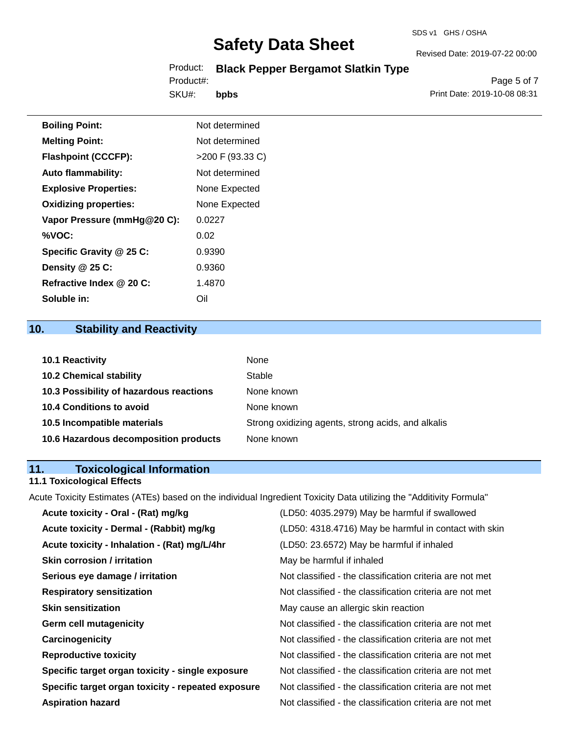# Product: **Black Pepper Bergamot Slatkin Type**

SKU#: Product#: **bpbs**

Page 5 of 7 Print Date: 2019-10-08 08:31

Revised Date: 2019-07-22 00:00

| <b>Boiling Point:</b>        | Not determined     |
|------------------------------|--------------------|
| <b>Melting Point:</b>        | Not determined     |
| <b>Flashpoint (CCCFP):</b>   | $>200$ F (93.33 C) |
| <b>Auto flammability:</b>    | Not determined     |
| <b>Explosive Properties:</b> | None Expected      |
| <b>Oxidizing properties:</b> | None Expected      |
| Vapor Pressure (mmHg@20 C):  | 0.0227             |
| %VOC:                        | 0.02               |
| Specific Gravity @ 25 C:     | 0.9390             |
| Density @ 25 C:              | 0.9360             |
| Refractive Index @ 20 C:     | 1.4870             |
| Soluble in:                  | Oil                |

# **10. Stability and Reactivity**

| <b>10.1 Reactivity</b>                  | None                                               |
|-----------------------------------------|----------------------------------------------------|
| <b>10.2 Chemical stability</b>          | Stable                                             |
| 10.3 Possibility of hazardous reactions | None known                                         |
| <b>10.4 Conditions to avoid</b>         | None known                                         |
| 10.5 Incompatible materials             | Strong oxidizing agents, strong acids, and alkalis |
| 10.6 Hazardous decomposition products   | None known                                         |

# **11. Toxicological Information**

## **11.1 Toxicological Effects**

Acute Toxicity Estimates (ATEs) based on the individual Ingredient Toxicity Data utilizing the "Additivity Formula"

| Acute toxicity - Oral - (Rat) mg/kg                | (LD50: 4035.2979) May be harmful if swallowed            |
|----------------------------------------------------|----------------------------------------------------------|
| Acute toxicity - Dermal - (Rabbit) mg/kg           | (LD50: 4318.4716) May be harmful in contact with skin    |
| Acute toxicity - Inhalation - (Rat) mg/L/4hr       | (LD50: 23.6572) May be harmful if inhaled                |
| <b>Skin corrosion / irritation</b>                 | May be harmful if inhaled                                |
| Serious eye damage / irritation                    | Not classified - the classification criteria are not met |
| <b>Respiratory sensitization</b>                   | Not classified - the classification criteria are not met |
| <b>Skin sensitization</b>                          | May cause an allergic skin reaction                      |
| <b>Germ cell mutagenicity</b>                      | Not classified - the classification criteria are not met |
| Carcinogenicity                                    | Not classified - the classification criteria are not met |
| <b>Reproductive toxicity</b>                       | Not classified - the classification criteria are not met |
| Specific target organ toxicity - single exposure   | Not classified - the classification criteria are not met |
| Specific target organ toxicity - repeated exposure | Not classified - the classification criteria are not met |
| <b>Aspiration hazard</b>                           | Not classified - the classification criteria are not met |
|                                                    |                                                          |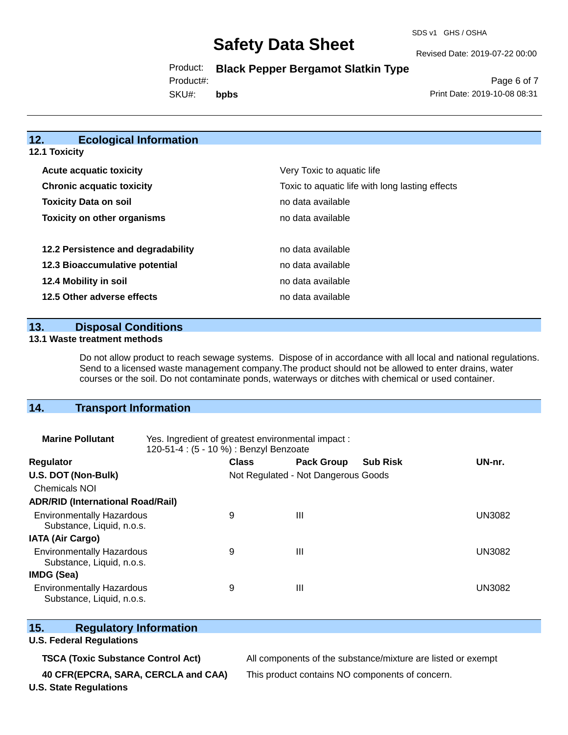SDS v1 GHS / OSHA

Revised Date: 2019-07-22 00:00

Product: **Black Pepper Bergamot Slatkin Type**

Product#:

SKU#: **bpbs**

Page 6 of 7 Print Date: 2019-10-08 08:31

## **12. Ecological Information**

**12.1 Toxicity**

| Very Toxic to aquatic life                      |
|-------------------------------------------------|
| Toxic to aquatic life with long lasting effects |
| no data available                               |
| no data available                               |
|                                                 |
| no data available                               |
| no data available                               |
| no data available                               |
| no data available                               |
|                                                 |

**13. Disposal Conditions** 

### **13.1 Waste treatment methods**

Do not allow product to reach sewage systems. Dispose of in accordance with all local and national regulations. Send to a licensed waste management company.The product should not be allowed to enter drains, water courses or the soil. Do not contaminate ponds, waterways or ditches with chemical or used container.

# **14. Transport Information**

| <b>Marine Pollutant</b>                                       | Yes. Ingredient of greatest environmental impact:<br>120-51-4 : (5 - 10 %) : Benzyl Benzoate |                                     |                   |                 |               |  |
|---------------------------------------------------------------|----------------------------------------------------------------------------------------------|-------------------------------------|-------------------|-----------------|---------------|--|
| <b>Regulator</b>                                              |                                                                                              | <b>Class</b>                        | <b>Pack Group</b> | <b>Sub Risk</b> | UN-nr.        |  |
| U.S. DOT (Non-Bulk)                                           |                                                                                              | Not Regulated - Not Dangerous Goods |                   |                 |               |  |
| <b>Chemicals NOI</b>                                          |                                                                                              |                                     |                   |                 |               |  |
| <b>ADR/RID (International Road/Rail)</b>                      |                                                                                              |                                     |                   |                 |               |  |
| <b>Environmentally Hazardous</b><br>Substance, Liquid, n.o.s. |                                                                                              | 9                                   | Ш                 |                 | UN3082        |  |
| <b>IATA (Air Cargo)</b>                                       |                                                                                              |                                     |                   |                 |               |  |
| <b>Environmentally Hazardous</b><br>Substance, Liquid, n.o.s. |                                                                                              | 9                                   | Ш                 |                 | <b>UN3082</b> |  |
| <b>IMDG (Sea)</b>                                             |                                                                                              |                                     |                   |                 |               |  |
| <b>Environmentally Hazardous</b><br>Substance, Liquid, n.o.s. |                                                                                              | 9                                   | Ш                 |                 | UN3082        |  |

## **15. Regulatory Information**

## **U.S. Federal Regulations**

**40 CFR(EPCRA, SARA, CERCLA and CAA)** This product contains NO components of concern.

**TSCA (Toxic Substance Control Act)** All components of the substance/mixture are listed or exempt